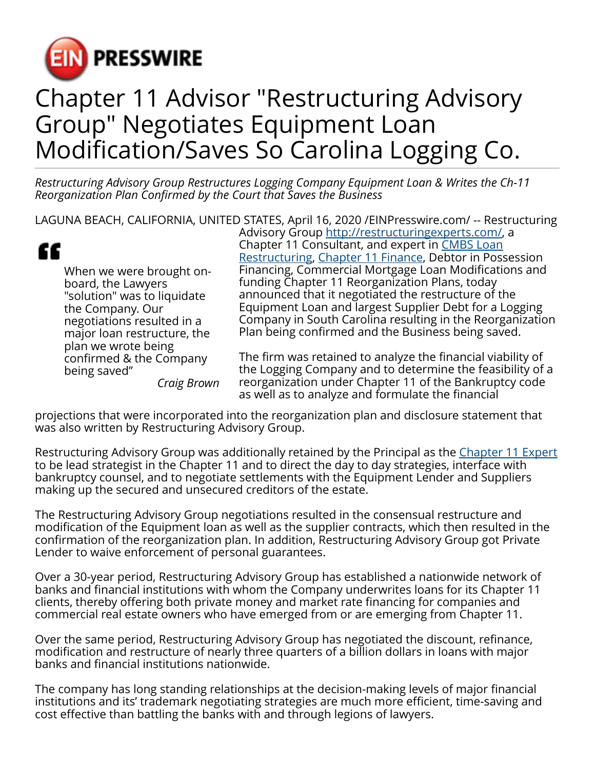

## Chapter 11 Advisor "Restructuring Advisory Group" Negotiates Equipment Loan Modification/Saves So Carolina Logging Co.

*Restructuring Advisory Group Restructures Logging Company Equipment Loan & Writes the Ch-11 Reorganization Plan Confirmed by the Court that Saves the Business*

LAGUNA BEACH, CALIFORNIA, UNITED STATES, April 16, 2020 /[EINPresswire.com/](http://www.einpresswire.com) -- Restructuring

" When we were brought onboard, the Lawyers "solution" was to liquidate the Company. Our negotiations resulted in a major loan restructure, the plan we wrote being confirmed & the Company being saved"

*Craig Brown*

Advisory Group [http://restructuringexperts.com/,](http://restructuringexperts.com/) a Chapter 11 Consultant, and expert in [CMBS Loan](http://restructuringexperts.com/cmbs-loan-restructures/) [Restructuring,](http://restructuringexperts.com/cmbs-loan-restructures/) [Chapter 11 Finance](http://restructuringexperts.com/refinancings/), Debtor in Possession Financing, Commercial Mortgage Loan Modifications and funding Chapter 11 Reorganization Plans, today announced that it negotiated the restructure of the Equipment Loan and largest Supplier Debt for a Logging Company in South Carolina resulting in the Reorganization Plan being confirmed and the Business being saved.

The firm was retained to analyze the financial viability of the Logging Company and to determine the feasibility of a reorganization under Chapter 11 of the Bankruptcy code as well as to analyze and formulate the financial

projections that were incorporated into the reorganization plan and disclosure statement that was also written by Restructuring Advisory Group.

Restructuring Advisory Group was additionally retained by the Principal as the [Chapter 11 Expert](https://restructuringexperts.com/case-studies/) to be lead strategist in the Chapter 11 and to direct the day to day strategies, interface with bankruptcy counsel, and to negotiate settlements with the Equipment Lender and Suppliers making up the secured and unsecured creditors of the estate.

The Restructuring Advisory Group negotiations resulted in the consensual restructure and modification of the Equipment loan as well as the supplier contracts, which then resulted in the confirmation of the reorganization plan. In addition, Restructuring Advisory Group got Private Lender to waive enforcement of personal guarantees.

Over a 30-year period, Restructuring Advisory Group has established a nationwide network of banks and financial institutions with whom the Company underwrites loans for its Chapter 11 clients, thereby offering both private money and market rate financing for companies and commercial real estate owners who have emerged from or are emerging from Chapter 11.

Over the same period, Restructuring Advisory Group has negotiated the discount, refinance, modification and restructure of nearly three quarters of a billion dollars in loans with major banks and financial institutions nationwide.

The company has long standing relationships at the decision-making levels of major financial institutions and its' trademark negotiating strategies are much more efficient, time-saving and cost effective than battling the banks with and through legions of lawyers.